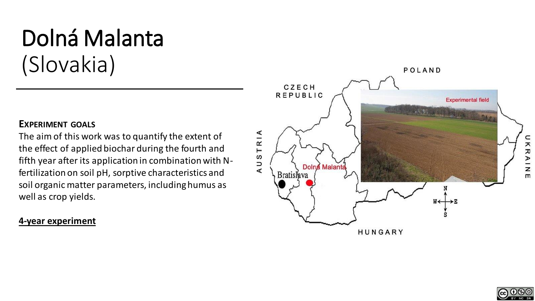# Dolná Malanta (Slovakia)

### **EXPERIMENT GOALS**

The aim of this work was to quantify the extent of the effect of applied biochar during the fourth and fifth year after its application in combination with Nfertilization on soil pH, sorptive characteristics and soil organic matter parameters, including humus as well as crop yields.

## **4-year experiment**





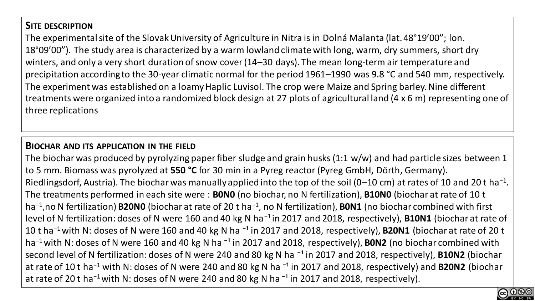## **SITE DESCRIPTION**

The experimental site of the Slovak University of Agriculture in Nitra is in Dolná Malanta (lat. 48°19'00"; lon. 18°09'00"). The study area is characterized by a warm lowland climate with long, warm, dry summers, short dry winters, and only a very short duration of snow cover (14–30 days). The mean long-term air temperature and precipitation according to the 30-year climatic normal for the period 1961–1990 was 9.8 °C and 540 mm, respectively. The experiment was established on a loamy Haplic Luvisol. The crop were Maize and Spring barley. Nine different treatments were organized into a randomized block design at 27 plots of agricultural land (4 x 6 m) representing one of three replications

### **BIOCHAR AND ITS APPLICATION IN THE FIELD**

The biochar was produced by pyrolyzing paper fiber sludge and grain husks (1:1 w/w) and had particle sizes between 1 to 5 mm. Biomass was pyrolyzed at **550 °C** for 30 min in a Pyreg reactor (Pyreg GmbH, Dörth, Germany). Riedlingsdorf, Austria). The biochar was manually applied into the top of the soil (0–10 cm) at rates of 10 and 20 t ha<sup>-1</sup>. The treatments performed in each site were : **B0N0** (no biochar, no N fertilization), **B10N0** (biochar at rate of 10 t ha−1,no N fertilization) **B20N0** (biochar at rate of 20 t ha−1, no N fertilization), **B0N1** (no biochar combined with first level of N fertilization: doses of N were 160 and 40 kg N ha<sup>-1</sup> in 2017 and 2018, respectively), **B10N1** (biochar at rate of 10 t ha<sup>-1</sup> with N: doses of N were 160 and 40 kg N ha<sup>-1</sup> in 2017 and 2018, respectively), **B20N1** (biochar at rate of 20 t ha<sup>-1</sup> with N: doses of N were 160 and 40 kg N ha<sup>-1</sup> in 2017 and 2018, respectively), **B0N2** (no biochar combined with second level of N fertilization: doses of N were 240 and 80 kg N ha<sup>-1</sup> in 2017 and 2018, respectively), **B10N2** (biochar at rate of 10 t ha<sup>−1</sup> with N: doses of N were 240 and 80 kg N ha<sup>-1</sup> in 2017 and 2018, respectively) and **B20N2** (biochar at rate of 20 t ha<sup>-1</sup> with N: doses of N were 240 and 80 kg N ha<sup>-1</sup> in 2017 and 2018, respectively).

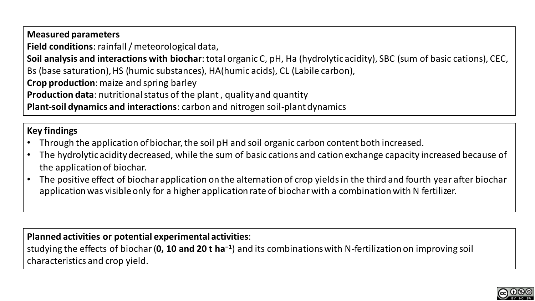**Measured parameters Field conditions**: rainfall / meteorological data, **Soil analysis and interactions with biochar**: total organic C, pH, Ha (hydrolytic acidity), SBC (sum of basic cations), CEC, Bs (base saturation), HS (humic substances), HA(humic acids), CL (Labile carbon), **Crop production**: maize and spring barley **Production data**: nutritional status of the plant , quality and quantity **Plant-soil dynamics and interactions**: carbon and nitrogen soil-plant dynamics

## **Key findings**

- Through the application of biochar, the soil pH and soil organic carbon content both increased.
- The hydrolytic acidity decreased, while the sum of basic cations and cation exchange capacity increased because of the application of biochar.
- The positive effect of biochar application on the alternation of crop yields in the third and fourth year after biochar application was visible only for a higher application rate of biochar with a combination with N fertilizer.

**Planned activities or potential experimental activities**:

studying the effects of biochar (**0, 10 and 20 t ha−1**) and its combinations with N-fertilization on improving soil characteristics and crop yield.